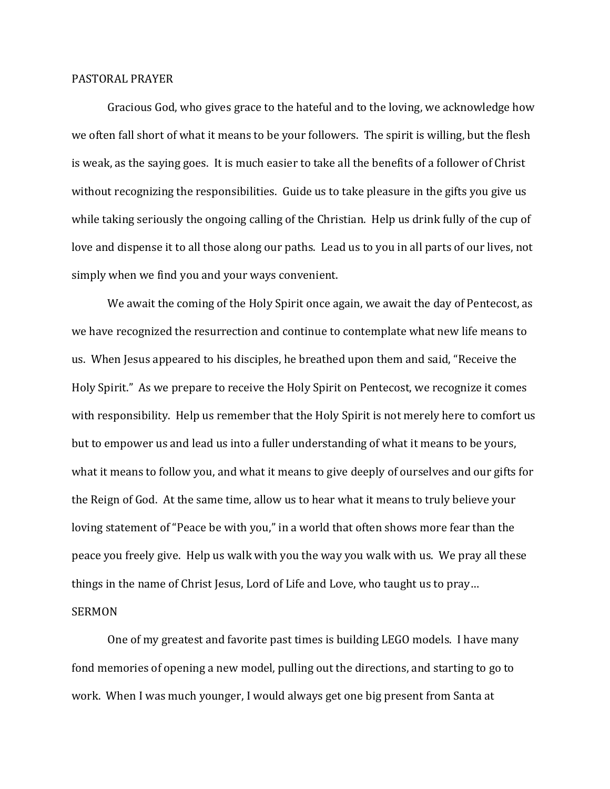## PASTORAL PRAYER

 Gracious God, who gives grace to the hateful and to the loving, we acknowledge how we often fall short of what it means to be your followers. The spirit is willing, but the flesh is weak, as the saying goes. It is much easier to take all the benefits of a follower of Christ without recognizing the responsibilities. Guide us to take pleasure in the gifts you give us while taking seriously the ongoing calling of the Christian. Help us drink fully of the cup of love and dispense it to all those along our paths. Lead us to you in all parts of our lives, not simply when we find you and your ways convenient.

 We await the coming of the Holy Spirit once again, we await the day of Pentecost, as we have recognized the resurrection and continue to contemplate what new life means to us. When Jesus appeared to his disciples, he breathed upon them and said, "Receive the Holy Spirit." As we prepare to receive the Holy Spirit on Pentecost, we recognize it comes with responsibility. Help us remember that the Holy Spirit is not merely here to comfort us but to empower us and lead us into a fuller understanding of what it means to be yours, what it means to follow you, and what it means to give deeply of ourselves and our gifts for the Reign of God. At the same time, allow us to hear what it means to truly believe your loving statement of "Peace be with you," in a world that often shows more fear than the peace you freely give. Help us walk with you the way you walk with us. We pray all these things in the name of Christ Jesus, Lord of Life and Love, who taught us to pray… SERMON

 One of my greatest and favorite past times is building LEGO models. I have many fond memories of opening a new model, pulling out the directions, and starting to go to work. When I was much younger, I would always get one big present from Santa at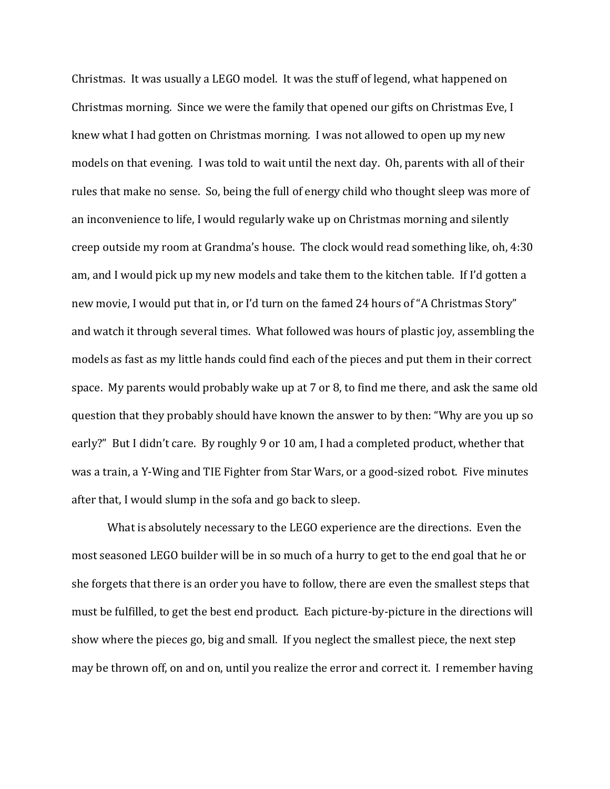Christmas. It was usually a LEGO model. It was the stuff of legend, what happened on Christmas morning. Since we were the family that opened our gifts on Christmas Eve, I knew what I had gotten on Christmas morning. I was not allowed to open up my new models on that evening. I was told to wait until the next day. Oh, parents with all of their rules that make no sense. So, being the full of energy child who thought sleep was more of an inconvenience to life, I would regularly wake up on Christmas morning and silently creep outside my room at Grandma's house. The clock would read something like, oh, 4:30 am, and I would pick up my new models and take them to the kitchen table. If I'd gotten a new movie, I would put that in, or I'd turn on the famed 24 hours of "A Christmas Story" and watch it through several times. What followed was hours of plastic joy, assembling the models as fast as my little hands could find each of the pieces and put them in their correct space. My parents would probably wake up at 7 or 8, to find me there, and ask the same old question that they probably should have known the answer to by then: "Why are you up so early?" But I didn't care. By roughly 9 or 10 am, I had a completed product, whether that was a train, a Y-Wing and TIE Fighter from Star Wars, or a good-sized robot. Five minutes after that, I would slump in the sofa and go back to sleep.

 What is absolutely necessary to the LEGO experience are the directions. Even the most seasoned LEGO builder will be in so much of a hurry to get to the end goal that he or she forgets that there is an order you have to follow, there are even the smallest steps that must be fulfilled, to get the best end product. Each picture-by-picture in the directions will show where the pieces go, big and small. If you neglect the smallest piece, the next step may be thrown off, on and on, until you realize the error and correct it. I remember having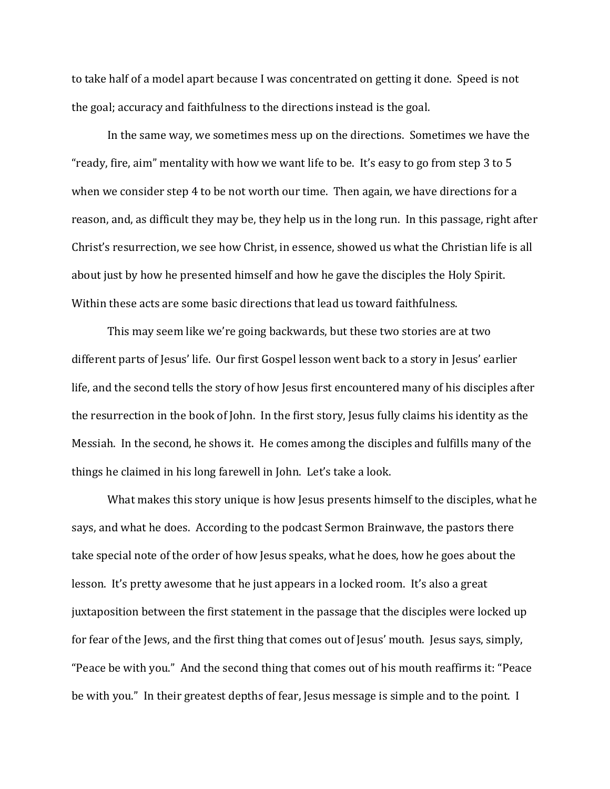to take half of a model apart because I was concentrated on getting it done. Speed is not the goal; accuracy and faithfulness to the directions instead is the goal.

 In the same way, we sometimes mess up on the directions. Sometimes we have the "ready, fire, aim" mentality with how we want life to be. It's easy to go from step 3 to 5 when we consider step 4 to be not worth our time. Then again, we have directions for a reason, and, as difficult they may be, they help us in the long run. In this passage, right after Christ's resurrection, we see how Christ, in essence, showed us what the Christian life is all about just by how he presented himself and how he gave the disciples the Holy Spirit. Within these acts are some basic directions that lead us toward faithfulness.

This may seem like we're going backwards, but these two stories are at two different parts of Jesus' life. Our first Gospel lesson went back to a story in Jesus' earlier life, and the second tells the story of how Jesus first encountered many of his disciples after the resurrection in the book of John. In the first story, Jesus fully claims his identity as the Messiah. In the second, he shows it. He comes among the disciples and fulfills many of the things he claimed in his long farewell in John. Let's take a look.

What makes this story unique is how Jesus presents himself to the disciples, what he says, and what he does. According to the podcast Sermon Brainwave, the pastors there take special note of the order of how Jesus speaks, what he does, how he goes about the lesson. It's pretty awesome that he just appears in a locked room. It's also a great juxtaposition between the first statement in the passage that the disciples were locked up for fear of the Jews, and the first thing that comes out of Jesus' mouth. Jesus says, simply, "Peace be with you." And the second thing that comes out of his mouth reaffirms it: "Peace be with you." In their greatest depths of fear, Jesus message is simple and to the point. I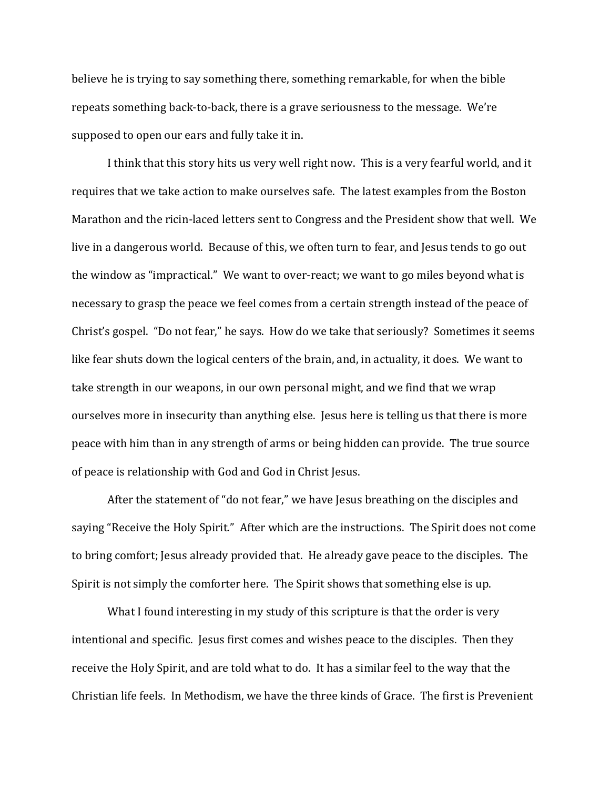believe he is trying to say something there, something remarkable, for when the bible repeats something back-to-back, there is a grave seriousness to the message. We're supposed to open our ears and fully take it in.

I think that this story hits us very well right now. This is a very fearful world, and it requires that we take action to make ourselves safe. The latest examples from the Boston Marathon and the ricin-laced letters sent to Congress and the President show that well. We live in a dangerous world. Because of this, we often turn to fear, and Jesus tends to go out the window as "impractical." We want to over-react; we want to go miles beyond what is necessary to grasp the peace we feel comes from a certain strength instead of the peace of Christ's gospel. "Do not fear," he says. How do we take that seriously? Sometimes it seems like fear shuts down the logical centers of the brain, and, in actuality, it does. We want to take strength in our weapons, in our own personal might, and we find that we wrap ourselves more in insecurity than anything else. Jesus here is telling us that there is more peace with him than in any strength of arms or being hidden can provide. The true source of peace is relationship with God and God in Christ Jesus.

After the statement of "do not fear," we have Jesus breathing on the disciples and saying "Receive the Holy Spirit." After which are the instructions. The Spirit does not come to bring comfort; Jesus already provided that. He already gave peace to the disciples. The Spirit is not simply the comforter here. The Spirit shows that something else is up.

What I found interesting in my study of this scripture is that the order is very intentional and specific. Jesus first comes and wishes peace to the disciples. Then they receive the Holy Spirit, and are told what to do. It has a similar feel to the way that the Christian life feels. In Methodism, we have the three kinds of Grace. The first is Prevenient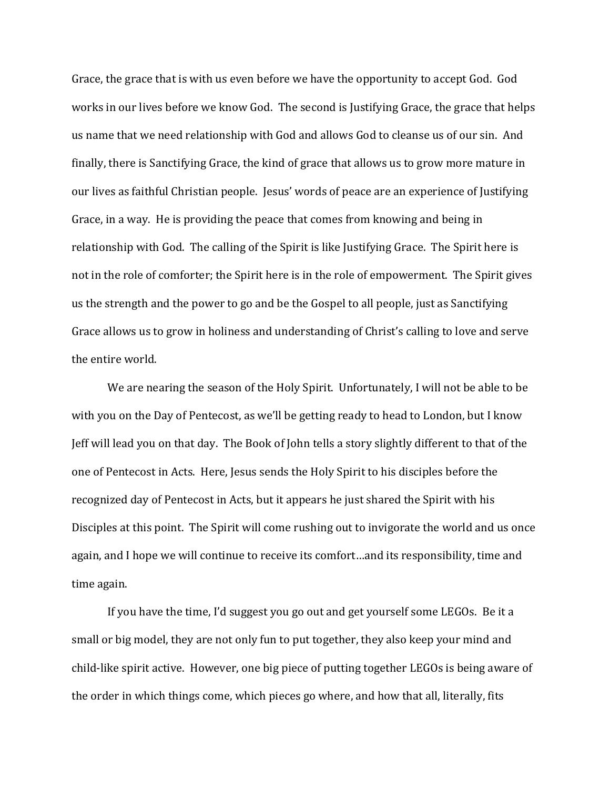Grace, the grace that is with us even before we have the opportunity to accept God. God works in our lives before we know God. The second is Justifying Grace, the grace that helps us name that we need relationship with God and allows God to cleanse us of our sin. And finally, there is Sanctifying Grace, the kind of grace that allows us to grow more mature in our lives as faithful Christian people. Jesus' words of peace are an experience of Justifying Grace, in a way. He is providing the peace that comes from knowing and being in relationship with God. The calling of the Spirit is like Justifying Grace. The Spirit here is not in the role of comforter; the Spirit here is in the role of empowerment. The Spirit gives us the strength and the power to go and be the Gospel to all people, just as Sanctifying Grace allows us to grow in holiness and understanding of Christ's calling to love and serve the entire world.

We are nearing the season of the Holy Spirit. Unfortunately, I will not be able to be with you on the Day of Pentecost, as we'll be getting ready to head to London, but I know Jeff will lead you on that day. The Book of John tells a story slightly different to that of the one of Pentecost in Acts. Here, Jesus sends the Holy Spirit to his disciples before the recognized day of Pentecost in Acts, but it appears he just shared the Spirit with his Disciples at this point. The Spirit will come rushing out to invigorate the world and us once again, and I hope we will continue to receive its comfort…and its responsibility, time and time again.

If you have the time, I'd suggest you go out and get yourself some LEGOs. Be it a small or big model, they are not only fun to put together, they also keep your mind and child-like spirit active. However, one big piece of putting together LEGOs is being aware of the order in which things come, which pieces go where, and how that all, literally, fits